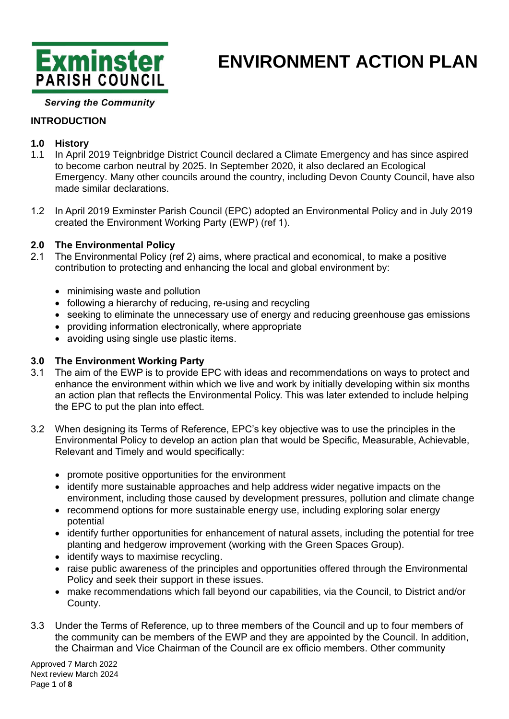

#### **Serving the Community**

### **INTRODUCTION**

### **1.0 History**

- 1.1 In April 2019 Teignbridge District Council declared a Climate Emergency and has since aspired to become carbon neutral by 2025. In September 2020, it also declared an Ecological Emergency. Many other councils around the country, including Devon County Council, have also made similar declarations.
- 1.2 In April 2019 Exminster Parish Council (EPC) adopted an Environmental Policy and in July 2019 created the Environment Working Party (EWP) (ref 1).

#### **2.0 The Environmental Policy**

- 2.1 The Environmental Policy (ref 2) aims, where practical and economical, to make a positive contribution to protecting and enhancing the local and global environment by:
	- minimising waste and pollution
	- following a hierarchy of reducing, re-using and recycling
	- seeking to eliminate the unnecessary use of energy and reducing greenhouse gas emissions
	- providing information electronically, where appropriate
	- avoiding using single use plastic items.

#### **3.0 The Environment Working Party**

- 3.1 The aim of the EWP is to provide EPC with ideas and recommendations on ways to protect and enhance the environment within which we live and work by initially developing within six months an action plan that reflects the Environmental Policy. This was later extended to include helping the EPC to put the plan into effect.
- 3.2 When designing its Terms of Reference, EPC's key objective was to use the principles in the Environmental Policy to develop an action plan that would be Specific, Measurable, Achievable, Relevant and Timely and would specifically:
	- promote positive opportunities for the environment
	- identify more sustainable approaches and help address wider negative impacts on the environment, including those caused by development pressures, pollution and climate change
	- recommend options for more sustainable energy use, including exploring solar energy potential
	- identify further opportunities for enhancement of natural assets, including the potential for tree planting and hedgerow improvement (working with the Green Spaces Group).
	- identify ways to maximise recycling.
	- raise public awareness of the principles and opportunities offered through the Environmental Policy and seek their support in these issues.
	- make recommendations which fall beyond our capabilities, via the Council, to District and/or County.
- 3.3 Under the Terms of Reference, up to three members of the Council and up to four members of the community can be members of the EWP and they are appointed by the Council. In addition, the Chairman and Vice Chairman of the Council are ex officio members. Other community

Approved 7 March 2022 Next review March 2024 Page **1** of **8**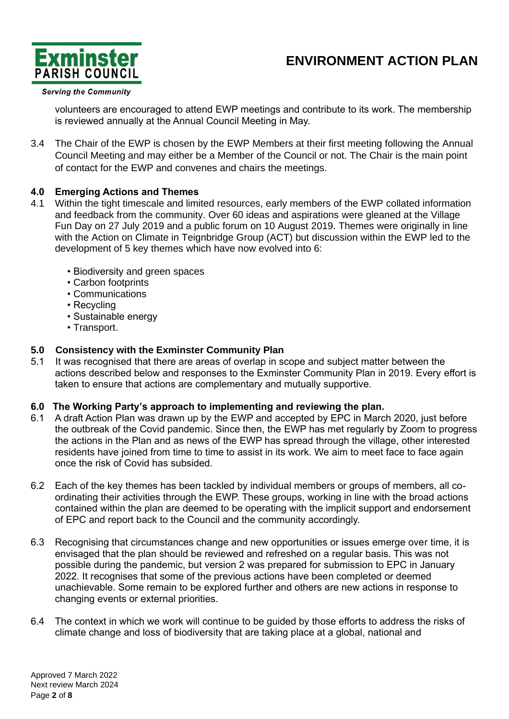

#### **Serving the Community**

volunteers are encouraged to attend EWP meetings and contribute to its work. The membership is reviewed annually at the Annual Council Meeting in May.

3.4 The Chair of the EWP is chosen by the EWP Members at their first meeting following the Annual Council Meeting and may either be a Member of the Council or not. The Chair is the main point of contact for the EWP and convenes and chairs the meetings.

#### **4.0 Emerging Actions and Themes**

- 4.1 Within the tight timescale and limited resources, early members of the EWP collated information and feedback from the community. Over 60 ideas and aspirations were gleaned at the Village Fun Day on 27 July 2019 and a public forum on 10 August 2019. Themes were originally in line with the Action on Climate in Teignbridge Group (ACT) but discussion within the EWP led to the development of 5 key themes which have now evolved into 6:
	- Biodiversity and green spaces
	- Carbon footprints
	- Communications
	- Recycling
	- Sustainable energy
	- Transport.

#### **5.0 Consistency with the Exminster Community Plan**

5.1 It was recognised that there are areas of overlap in scope and subject matter between the actions described below and responses to the Exminster Community Plan in 2019. Every effort is taken to ensure that actions are complementary and mutually supportive.

#### **6.0 The Working Party's approach to implementing and reviewing the plan.**

- 6.1 A draft Action Plan was drawn up by the EWP and accepted by EPC in March 2020, just before the outbreak of the Covid pandemic. Since then, the EWP has met regularly by Zoom to progress the actions in the Plan and as news of the EWP has spread through the village, other interested residents have joined from time to time to assist in its work. We aim to meet face to face again once the risk of Covid has subsided.
- 6.2 Each of the key themes has been tackled by individual members or groups of members, all coordinating their activities through the EWP. These groups, working in line with the broad actions contained within the plan are deemed to be operating with the implicit support and endorsement of EPC and report back to the Council and the community accordingly.
- 6.3 Recognising that circumstances change and new opportunities or issues emerge over time, it is envisaged that the plan should be reviewed and refreshed on a regular basis. This was not possible during the pandemic, but version 2 was prepared for submission to EPC in January 2022. It recognises that some of the previous actions have been completed or deemed unachievable. Some remain to be explored further and others are new actions in response to changing events or external priorities.
- 6.4 The context in which we work will continue to be guided by those efforts to address the risks of climate change and loss of biodiversity that are taking place at a global, national and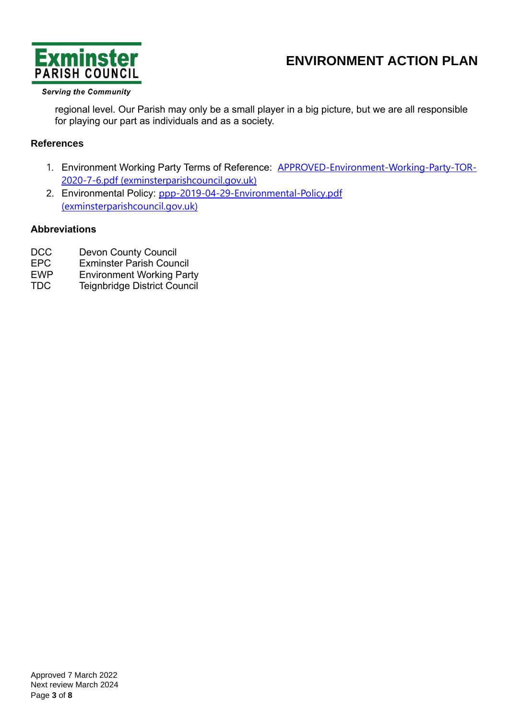

#### **Serving the Community**

regional level. Our Parish may only be a small player in a big picture, but we are all responsible for playing our part as individuals and as a society.

### **References**

- 1. Environment Working Party Terms of Reference: **[APPROVED-Environment-Working-Party-TOR-](https://www.exminsterparishcouncil.gov.uk/wp-content/uploads/sites/71/2020/08/APPROVED-Environment-Working-Party-TOR-2020-7-6.pdf)**[2020-7-6.pdf \(exminsterparishcouncil.gov.uk\)](https://www.exminsterparishcouncil.gov.uk/wp-content/uploads/sites/71/2020/08/APPROVED-Environment-Working-Party-TOR-2020-7-6.pdf)
- 2. Environmental Policy: [ppp-2019-04-29-Environmental-Policy.pdf](https://www.exminsterparishcouncil.gov.uk/wp-content/uploads/sites/71/2020/07/ppp-2019-04-29-Environmental-Policy.pdf)  [\(exminsterparishcouncil.gov.uk\)](https://www.exminsterparishcouncil.gov.uk/wp-content/uploads/sites/71/2020/07/ppp-2019-04-29-Environmental-Policy.pdf)

### **Abbreviations**

- DCC Devon County Council
- EPC Exminster Parish Council
- EWP Environment Working Party
- TDC Teignbridge District Council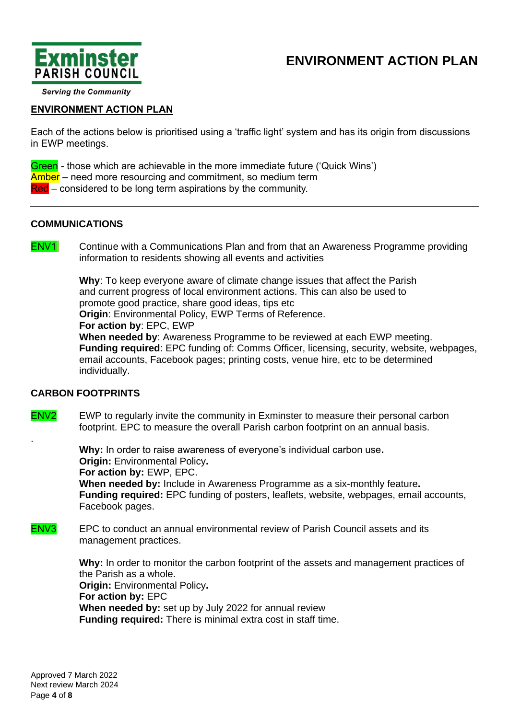



**Serving the Community** 

#### **ENVIRONMENT ACTION PLAN**

Each of the actions below is prioritised using a 'traffic light' system and has its origin from discussions in EWP meetings.

Green - those which are achievable in the more immediate future ('Quick Wins') Amber – need more resourcing and commitment, so medium term Red – considered to be long term aspirations by the community.

#### **COMMUNICATIONS**

.

**ENV1** Continue with a Communications Plan and from that an Awareness Programme providing information to residents showing all events and activities

> **Why**: To keep everyone aware of climate change issues that affect the Parish and current progress of local environment actions. This can also be used to promote good practice, share good ideas, tips etc **Origin: Environmental Policy, EWP Terms of Reference. For action by**: EPC, EWP **When needed by**: Awareness Programme to be reviewed at each EWP meeting. **Funding required**: EPC funding of: Comms Officer, licensing, security, website, webpages,

email accounts, Facebook pages; printing costs, venue hire, etc to be determined individually.

#### **CARBON FOOTPRINTS**

ENV2 EWP to regularly invite the community in Exminster to measure their personal carbon footprint. EPC to measure the overall Parish carbon footprint on an annual basis.

> **Why:** In order to raise awareness of everyone's individual carbon use**. Origin:** Environmental Policy**. For action by:** EWP, EPC. **When needed by:** Include in Awareness Programme as a six-monthly feature**. Funding required:** EPC funding of posters, leaflets, website, webpages, email accounts, Facebook pages.

#### ENV3 EPC to conduct an annual environmental review of Parish Council assets and its management practices.

**Why:** In order to monitor the carbon footprint of the assets and management practices of the Parish as a whole. **Origin:** Environmental Policy**. For action by:** EPC **When needed by:** set up by July 2022 for annual review **Funding required:** There is minimal extra cost in staff time.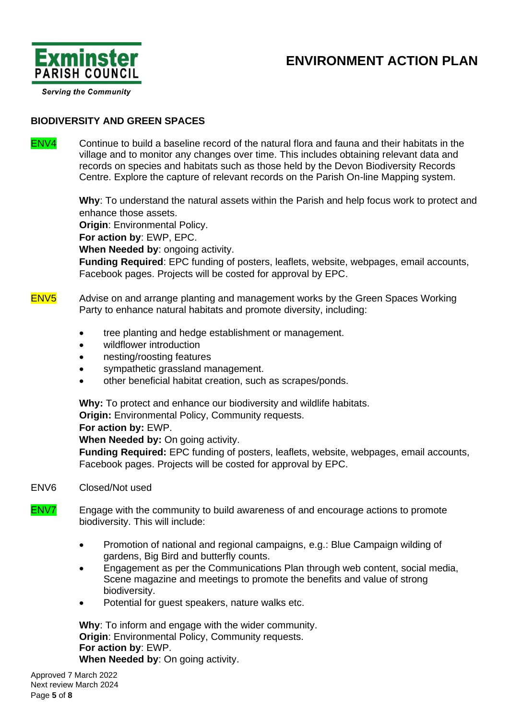

**Serving the Community** 

### **BIODIVERSITY AND GREEN SPACES**

ENV4 Continue to build a baseline record of the natural flora and fauna and their habitats in the village and to monitor any changes over time. This includes obtaining relevant data and records on species and habitats such as those held by the Devon Biodiversity Records Centre. Explore the capture of relevant records on the Parish On-line Mapping system.

> **Why**: To understand the natural assets within the Parish and help focus work to protect and enhance those assets.

**Origin: Environmental Policy.** 

**For action by**: EWP, EPC.

**When Needed by**: ongoing activity.

**Funding Required**: EPC funding of posters, leaflets, website, webpages, email accounts, Facebook pages. Projects will be costed for approval by EPC.

- ENV5 Advise on and arrange planting and management works by the Green Spaces Working Party to enhance natural habitats and promote diversity, including:
	- tree planting and hedge establishment or management.
	- wildflower introduction
	- nesting/roosting features
	- sympathetic grassland management.
	- other beneficial habitat creation, such as scrapes/ponds.

**Why:** To protect and enhance our biodiversity and wildlife habitats. **Origin:** Environmental Policy, Community requests.

#### **For action by:** EWP.

**When Needed by:** On going activity.

**Funding Required:** EPC funding of posters, leaflets, website, webpages, email accounts, Facebook pages. Projects will be costed for approval by EPC.

#### ENV6 Closed/Not used

- ENV7 Engage with the community to build awareness of and encourage actions to promote biodiversity. This will include:
	- Promotion of national and regional campaigns, e.g.: Blue Campaign wilding of gardens, Big Bird and butterfly counts.
	- Engagement as per the Communications Plan through web content, social media, Scene magazine and meetings to promote the benefits and value of strong biodiversity.
	- Potential for quest speakers, nature walks etc.

**Why**: To inform and engage with the wider community. **Origin**: Environmental Policy, Community requests. **For action by**: EWP. **When Needed by**: On going activity.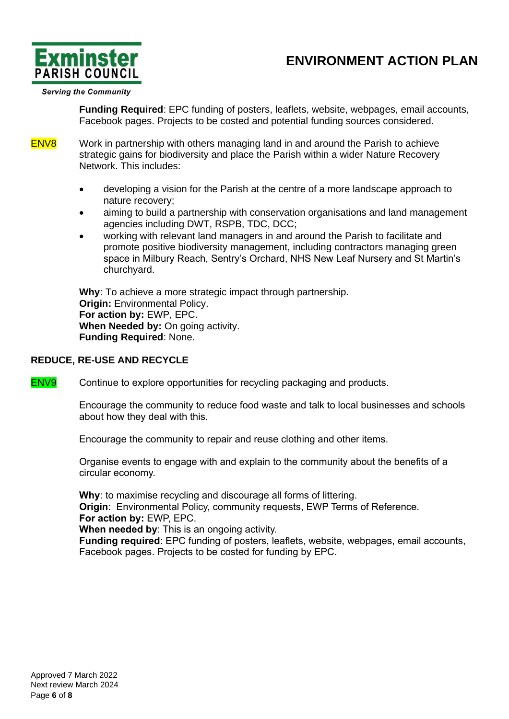

**Serving the Community** 

**Funding Required**: EPC funding of posters, leaflets, website, webpages, email accounts, Facebook pages. Projects to be costed and potential funding sources considered.

ENV8 Work in partnership with others managing land in and around the Parish to achieve strategic gains for biodiversity and place the Parish within a wider Nature Recovery Network. This includes:

- developing a vision for the Parish at the centre of a more landscape approach to nature recovery;
- aiming to build a partnership with conservation organisations and land management agencies including DWT, RSPB, TDC, DCC;
- working with relevant land managers in and around the Parish to facilitate and promote positive biodiversity management, including contractors managing green space in Milbury Reach, Sentry's Orchard, NHS New Leaf Nursery and St Martin's churchyard.

**Why**: To achieve a more strategic impact through partnership. **Origin:** Environmental Policy. **For action by:** EWP, EPC. **When Needed by:** On going activity. **Funding Required**: None.

#### **REDUCE, RE-USE AND RECYCLE**

ENV9 Continue to explore opportunities for recycling packaging and products.

Encourage the community to reduce food waste and talk to local businesses and schools about how they deal with this.

Encourage the community to repair and reuse clothing and other items.

Organise events to engage with and explain to the community about the benefits of a circular economy.

**Why**: to maximise recycling and discourage all forms of littering. **Origin**: Environmental Policy, community requests, EWP Terms of Reference. **For action by:** EWP, EPC.

**When needed by**: This is an ongoing activity.

**Funding required**: EPC funding of posters, leaflets, website, webpages, email accounts, Facebook pages. Projects to be costed for funding by EPC.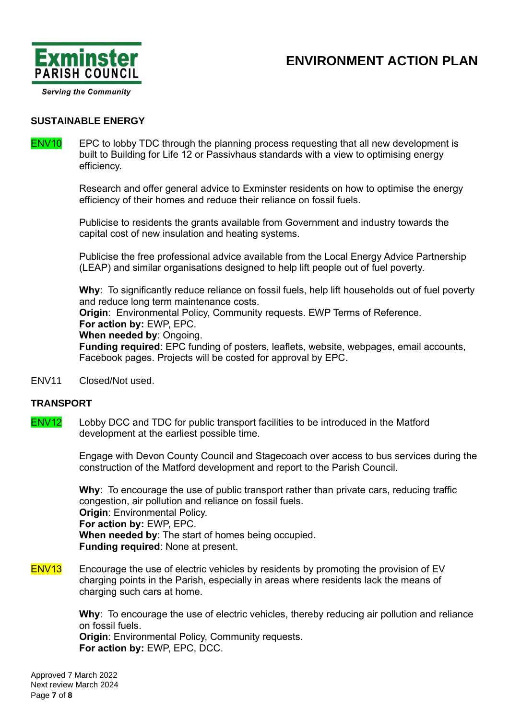

### **SUSTAINABLE ENERGY**

#### ENV10 EPC to lobby TDC through the planning process requesting that all new development is built to Building for Life 12 or Passivhaus standards with a view to optimising energy efficiency.

Research and offer general advice to Exminster residents on how to optimise the energy efficiency of their homes and reduce their reliance on fossil fuels.

Publicise to residents the grants available from Government and industry towards the capital cost of new insulation and heating systems.

Publicise the free professional advice available from the Local Energy Advice Partnership (LEAP) and similar organisations designed to help lift people out of fuel poverty.

**Why**: To significantly reduce reliance on fossil fuels, help lift households out of fuel poverty and reduce long term maintenance costs.

**Origin: Environmental Policy, Community requests. EWP Terms of Reference. For action by:** EWP, EPC.

**When needed by**: Ongoing.

**Funding required**: EPC funding of posters, leaflets, website, webpages, email accounts, Facebook pages. Projects will be costed for approval by EPC.

ENV11 Closed/Not used.

#### **TRANSPORT**

ENV12 Lobby DCC and TDC for public transport facilities to be introduced in the Matford development at the earliest possible time.

> Engage with Devon County Council and Stagecoach over access to bus services during the construction of the Matford development and report to the Parish Council.

**Why**: To encourage the use of public transport rather than private cars, reducing traffic congestion, air pollution and reliance on fossil fuels. **Origin**: Environmental Policy. **For action by:** EWP, EPC. **When needed by**: The start of homes being occupied. **Funding required**: None at present.

ENV13 Encourage the use of electric vehicles by residents by promoting the provision of EV charging points in the Parish, especially in areas where residents lack the means of charging such cars at home.

> **Why**: To encourage the use of electric vehicles, thereby reducing air pollution and reliance on fossil fuels.

**Origin: Environmental Policy, Community requests. For action by:** EWP, EPC, DCC.